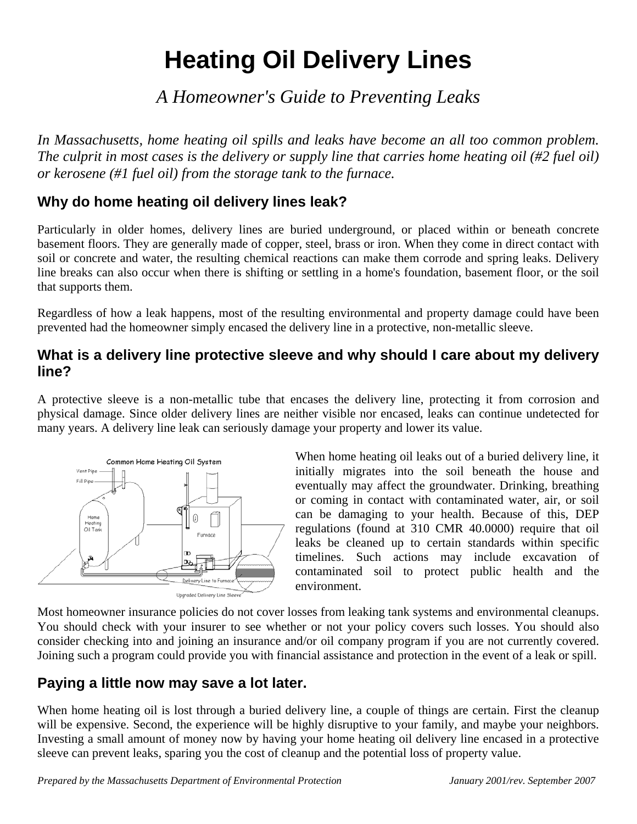# **Heating Oil Delivery Lines**

## *A Homeowner's Guide to Preventing Leaks*

*In Massachusetts, home heating oil spills and leaks have become an all too common problem. The culprit in most cases is the delivery or supply line that carries home heating oil (#2 fuel oil) or kerosene (#1 fuel oil) from the storage tank to the furnace.* 

## **Why do home heating oil delivery lines leak?**

Particularly in older homes, delivery lines are buried underground, or placed within or beneath concrete basement floors. They are generally made of copper, steel, brass or iron. When they come in direct contact with soil or concrete and water, the resulting chemical reactions can make them corrode and spring leaks. Delivery line breaks can also occur when there is shifting or settling in a home's foundation, basement floor, or the soil that supports them.

Regardless of how a leak happens, most of the resulting environmental and property damage could have been prevented had the homeowner simply encased the delivery line in a protective, non-metallic sleeve.

## **What is a delivery line protective sleeve and why should I care about my delivery line?**

A protective sleeve is a non-metallic tube that encases the delivery line, protecting it from corrosion and physical damage. Since older delivery lines are neither visible nor encased, leaks can continue undetected for many years. A delivery line leak can seriously damage your property and lower its value.



When home heating oil leaks out of a buried delivery line, it initially migrates into the soil beneath the house and eventually may affect the groundwater. Drinking, breathing or coming in contact with contaminated water, air, or soil can be damaging to your health. Because of this, DEP regulations (found at 310 CMR 40.0000) require that oil leaks be cleaned up to certain standards within specific timelines. Such actions may include excavation of contaminated soil to protect public health and the environment.

Most homeowner insurance policies do not cover losses from leaking tank systems and environmental cleanups. You should check with your insurer to see whether or not your policy covers such losses. You should also consider checking into and joining an insurance and/or oil company program if you are not currently covered. Joining such a program could provide you with financial assistance and protection in the event of a leak or spill.

## **Paying a little now may save a lot later.**

When home heating oil is lost through a buried delivery line, a couple of things are certain. First the cleanup will be expensive. Second, the experience will be highly disruptive to your family, and maybe your neighbors. Investing a small amount of money now by having your home heating oil delivery line encased in a protective sleeve can prevent leaks, sparing you the cost of cleanup and the potential loss of property value.